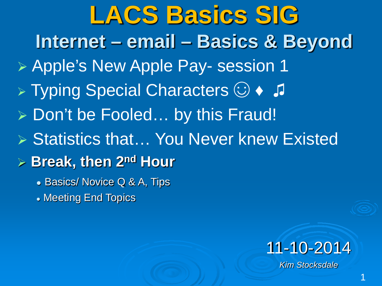**LACS Basics SIG Internet – email – Basics & Beyond** Apple's New Apple Pay- session 1 > Typing Special Characters  $\odot \rightarrow$  J ▶ Don't be Fooled... by this Fraud! ▶ Statistics that... You Never knew Existed **Break, then 2nd Hour** • Basics/ Novice Q & A, Tips

Meeting End Topics

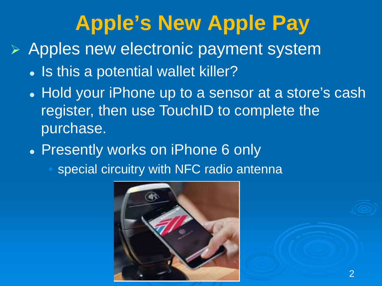# **Apple's New Apple Pay**

 $\triangleright$  Apples new electronic payment system

- Is this a potential wallet killer?
- Hold your iPhone up to a sensor at a store's cash register, then use TouchID to complete the purchase.
- Presently works on iPhone 6 only
	- special circuitry with NFC radio antenna

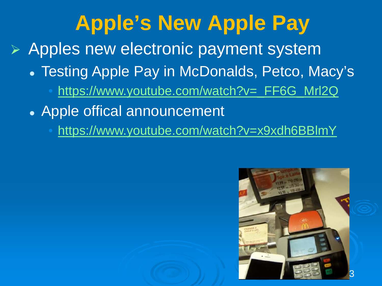# **Apple's New Apple Pay**

Apples new electronic payment system

- Testing Apple Pay in McDonalds, Petco, Macy's
	- [https://www.youtube.com/watch?v=\\_FF6G\\_Mrl2Q](https://www.youtube.com/watch?v=_FF6G_Mrl2Q)
- Apple offical announcement
	- <https://www.youtube.com/watch?v=x9xdh6BBlmY>

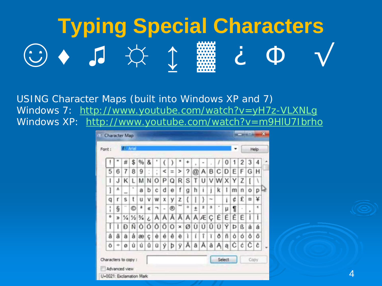# **Typing Special Characters**  $\circledcirc$  and  $\circledcirc$

USING Character Maps (built into Windows XP and 7) Windows 7: http://www.youtube.com/watch?v=yH7z-VLXNLg Windows XP: http://www.youtube.com/watch?v=m9HIU7Ibrho

| $\mathcal{M}$                                    |   |   | <b>Character Map</b>     |                                           |     |        |   |                |                |   |   |          |                |        |          |                |                     |   |          |      | $\overline{\mathbf{x}}$ |
|--------------------------------------------------|---|---|--------------------------|-------------------------------------------|-----|--------|---|----------------|----------------|---|---|----------|----------------|--------|----------|----------------|---------------------|---|----------|------|-------------------------|
| Font:                                            |   |   | <b>C. Artal</b>          |                                           |     |        |   |                |                |   |   |          |                |        |          |                |                     |   |          | Help |                         |
|                                                  | I |   | #                        | \$                                        | %   | &      |   |                | )              | ۰ | ۰ | ×        | $\blacksquare$ | ü      | 1        | 0              | 1                   | 2 | 3        | 4    |                         |
|                                                  | 5 | 6 | 7                        | 8                                         | 9   | ٠<br>¥ | × | $\,<\,$        | $\equiv$       | > | ? | $\omega$ |                |        |          |                | $A$ $B$ $C$ $D$ $E$ | F |          | G H  |                         |
|                                                  | ı | J | κ                        | L                                         | м   | Ν      | O | P              | Q              | R | S | T        | U              |        | VW       | x <sub>1</sub> | Υ                   | Z | ĺ        | ١    |                         |
|                                                  | l | A | $\overline{\phantom{a}}$ | ٠                                         | a   | b      | с | d              | e              | f | g | h        | î              | ĵ      | k        | ı              | m                   | n | о        | р    |                         |
|                                                  | q | r | s                        | t                                         | u   | ٧      | w | X              | y              | z | { | I        | ł              | $\sim$ |          | ī              | ¢                   | £ | $\alpha$ | ¥    |                         |
|                                                  | i | ş | $\sim$                   | Ó                                         | a   | 收      | ∍ | $\blacksquare$ | ⊛              |   | ۰ | $\pm$    | 2              | з      | $\alpha$ | μ              | 1                   | ä | ä        | ٩    |                         |
|                                                  | ۰ | Ж |                          | $\frac{1}{4}$ $\frac{1}{2}$ $\frac{3}{4}$ |     | Ĉ      | А | А              | Å              | Ă | Ä |          | A E            | Ç      | ε        | É              | Ê                   | Ë | İ        | ı    |                         |
|                                                  | Ĭ | ĭ | Ð                        |                                           | N O | Ó      |   | 0 0            | $\overline{O}$ | × | ø |          | ÙÚ             | Ū      | Ū        | Ý              | Þ                   | ß | à        | á    |                         |
|                                                  | â | ã | ä                        | å                                         | æ   | ç      | è | é              | ê              | ë | ì | í        | î              | ï      | ð        | ñ              | Ò                   | ó | ô        | ő    |                         |
|                                                  | Ö | ÷ | ø                        | ù                                         | ú   | û      | ü | ý              | þ              | ÿ | Ā | ā        | А              | ă      | Α        | ą              | C                   | ć | Ĉ        | ĉ    |                         |
| Characters to copy :<br>U+0021: Exclamation Mark |   |   | Advanced view            |                                           |     |        |   |                |                |   |   |          |                |        |          | Select         |                     |   | Copy     |      |                         |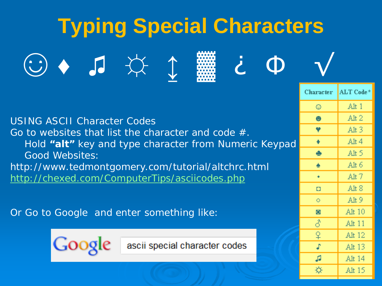| <b>Typing Special Characters</b>                                                                                                                                                                                                                                                                                                                            |           |           |  |  |  |  |  |  |  |  |
|-------------------------------------------------------------------------------------------------------------------------------------------------------------------------------------------------------------------------------------------------------------------------------------------------------------------------------------------------------------|-----------|-----------|--|--|--|--|--|--|--|--|
| $\begin{picture}(120,15) \put(0,0){\line(1,0){155}} \put(15,0){\line(1,0){155}} \put(15,0){\line(1,0){155}} \put(15,0){\line(1,0){155}} \put(15,0){\line(1,0){155}} \put(15,0){\line(1,0){155}} \put(15,0){\line(1,0){155}} \put(15,0){\line(1,0){155}} \put(15,0){\line(1,0){155}} \put(15,0){\line(1,0){155}} \put(15,0){\line(1,0){155}}$<br>$\mathbf 0$ |           |           |  |  |  |  |  |  |  |  |
|                                                                                                                                                                                                                                                                                                                                                             | Character | ALT Code* |  |  |  |  |  |  |  |  |
|                                                                                                                                                                                                                                                                                                                                                             | ۵         | Alt 1     |  |  |  |  |  |  |  |  |
| <b>USING ASCII Character Codes</b>                                                                                                                                                                                                                                                                                                                          | ٠         | Alt $2$   |  |  |  |  |  |  |  |  |
| Go to websites that list the character and code #.                                                                                                                                                                                                                                                                                                          |           | Alt $3$   |  |  |  |  |  |  |  |  |
| Hold "alt" key and type character from Numeric Keypad                                                                                                                                                                                                                                                                                                       |           | Alt 4     |  |  |  |  |  |  |  |  |
| <b>Good Websites:</b>                                                                                                                                                                                                                                                                                                                                       | ÷         | Alt 5     |  |  |  |  |  |  |  |  |
| http://www.tedmontgomery.com/tutorial/altchrc.html                                                                                                                                                                                                                                                                                                          |           | Alt $6$   |  |  |  |  |  |  |  |  |
| http://chexed.com/ComputerTips/asciicodes.php                                                                                                                                                                                                                                                                                                               |           | Alt $7$   |  |  |  |  |  |  |  |  |
|                                                                                                                                                                                                                                                                                                                                                             | o         | Alt $8$   |  |  |  |  |  |  |  |  |
|                                                                                                                                                                                                                                                                                                                                                             | $\circ$   | Alt 9     |  |  |  |  |  |  |  |  |
| Or Go to Google and enter something like:                                                                                                                                                                                                                                                                                                                   | $\circ$   | Alt 10    |  |  |  |  |  |  |  |  |
|                                                                                                                                                                                                                                                                                                                                                             | 8         | Alt 11    |  |  |  |  |  |  |  |  |
|                                                                                                                                                                                                                                                                                                                                                             |           | Alt 12    |  |  |  |  |  |  |  |  |
| ascii special character codes                                                                                                                                                                                                                                                                                                                               |           | Alt 13    |  |  |  |  |  |  |  |  |

 $\mathfrak{g}$ 

<del>☆</del>

Alt 14

Alt $15\,$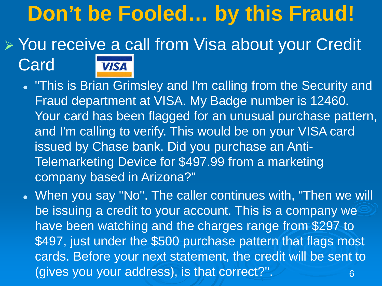# **Don't be Fooled… by this Fraud!**

#### ▶ You receive a call from Visa about your Credit Card **VISA**

 "This is Brian Grimsley and I'm calling from the Security and Fraud department at VISA. My Badge number is 12460. Your card has been flagged for an unusual purchase pattern, and I'm calling to verify. This would be on your VISA card issued by Chase bank. Did you purchase an Anti-Telemarketing Device for \$497.99 from a marketing company based in Arizona?"

6 When you say "No". The caller continues with, "Then we will be issuing a credit to your account. This is a company we have been watching and the charges range from \$297 to \$497, just under the \$500 purchase pattern that flags most cards. Before your next statement, the credit will be sent to (gives you your address), is that correct?".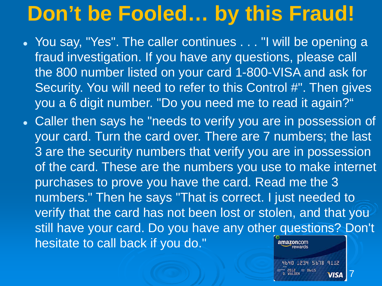# **Don't be Fooled… by this Fraud!**

- You say, "Yes". The caller continues . . . "I will be opening a fraud investigation. If you have any questions, please call the 800 number listed on your card 1-800-VISA and ask for Security. You will need to refer to this Control #". Then gives you a 6 digit number. "Do you need me to read it again?"
- Caller then says he "needs to verify you are in possession of your card. Turn the card over. There are 7 numbers; the last 3 are the security numbers that verify you are in possession of the card. These are the numbers you use to make internet purchases to prove you have the card. Read me the 3 numbers." Then he says "That is correct. I just needed to verify that the card has not been lost or stolen, and that you still have your card. Do you have any other questions? Don't hesitate to call back if you do." amazon.com

7

4640 1234 5678 9112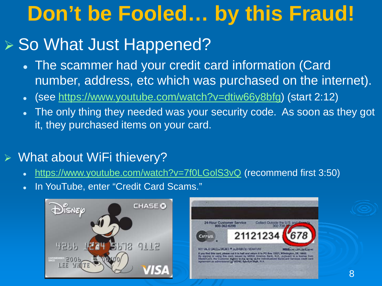# **Don't be Fooled… by this Fraud!**

## ▶ So What Just Happened?

- The scammer had your credit card information (Card number, address, etc which was purchased on the internet).
- (see [https://www.youtube.com/watch?v=dtiw66y8bfg\)](https://www.youtube.com/watch?v=dtiw66y8bfg) (start 2:12)
- The only thing they needed was your security code. As soon as they got it, they purchased items on your card.

#### What about WiFi thievery?

- <https://www.youtube.com/watch?v=7f0LGolS3vQ> (recommend first 3:50)
- In YouTube, enter "Credit Card Scams."



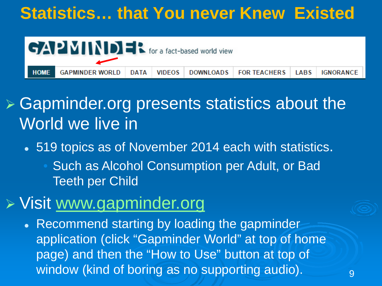### **Statistics… that You never Knew Existed**



### $\triangleright$  Gapminder.org presents statistics about the World we live in

- 519 topics as of November 2014 each with statistics.
	- Such as Alcohol Consumption per Adult, or Bad Teeth per Child

### $\triangleright$  Visit [www.gapminder.org](http://www.gapminder.org/)

• Recommend starting by loading the gapminder application (click "Gapminder World" at top of home page) and then the "How to Use" button at top of window (kind of boring as no supporting audio).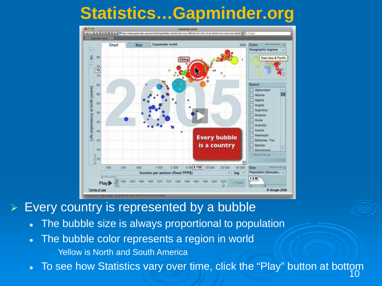### **Statistics…Gapminder.org**



Every country is represented by a bubble

- The bubble size is always proportional to population
- The bubble color represents a region in world

Yellow is North and South America

10 • To see how Statistics vary over time, click the "Play" button at bottom